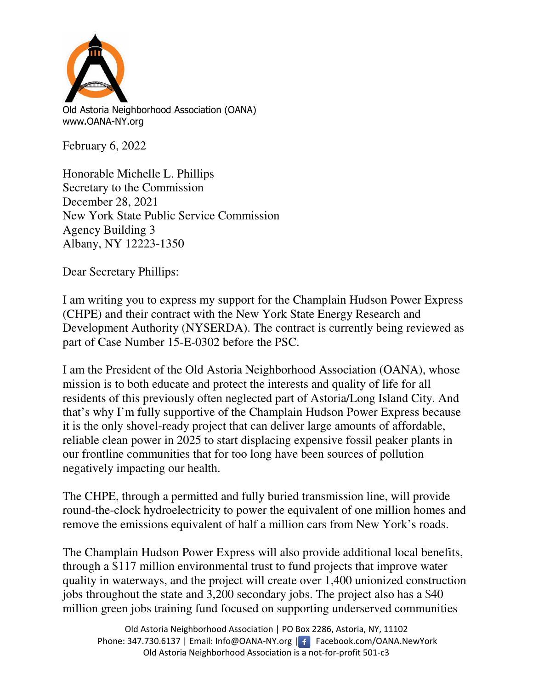

Old Astoria Neighborhood Association (OANA) www.OANA-NY.org

February 6, 2022

Honorable Michelle L. Phillips Secretary to the Commission December 28, 2021 New York State Public Service Commission Agency Building 3 Albany, NY 12223-1350

Dear Secretary Phillips:

I am writing you to express my support for the Champlain Hudson Power Express (CHPE) and their contract with the New York State Energy Research and Development Authority (NYSERDA). The contract is currently being reviewed as part of Case Number 15-E-0302 before the PSC.

I am the President of the Old Astoria Neighborhood Association (OANA), whose mission is to both educate and protect the interests and quality of life for all residents of this previously often neglected part of Astoria/Long Island City. And that's why I'm fully supportive of the Champlain Hudson Power Express because it is the only shovel-ready project that can deliver large amounts of affordable, reliable clean power in 2025 to start displacing expensive fossil peaker plants in our frontline communities that for too long have been sources of pollution negatively impacting our health.

The CHPE, through a permitted and fully buried transmission line, will provide round-the-clock hydroelectricity to power the equivalent of one million homes and remove the emissions equivalent of half a million cars from New York's roads.

The Champlain Hudson Power Express will also provide additional local benefits, through a \$117 million environmental trust to fund projects that improve water quality in waterways, and the project will create over 1,400 unionized construction jobs throughout the state and 3,200 secondary jobs. The project also has a \$40 million green jobs training fund focused on supporting underserved communities